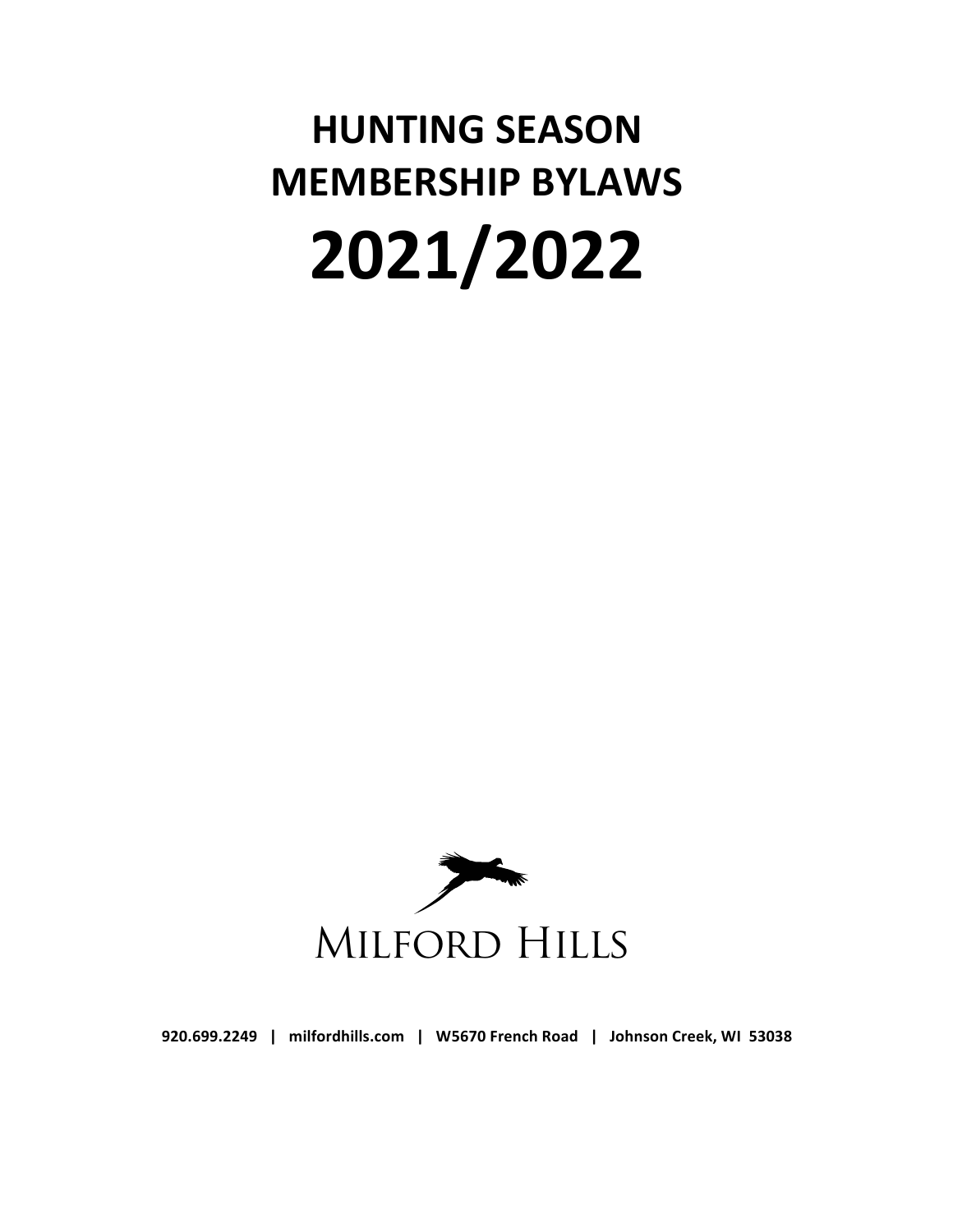# **HUNTING SEASON MEMBERSHIP BYLAWS 2021/2022**



920.699.2249 | milfordhills.com | W5670 French Road | Johnson Creek, WI 53038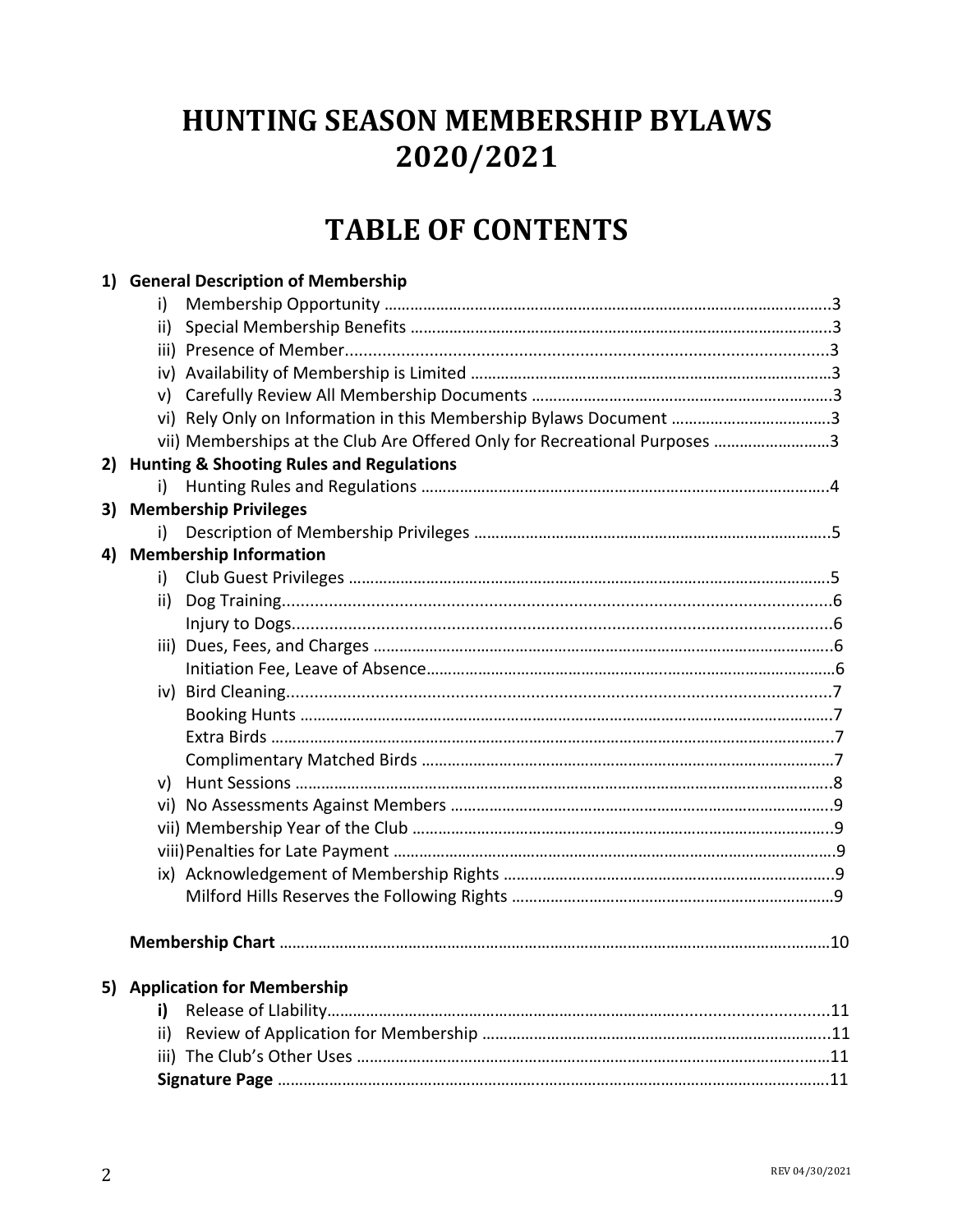# **HUNTING SEASON MEMBERSHIP BYLAWS 2020/2021**

# **TABLE OF CONTENTS**

|                                                           | 1) General Description of Membership |                                                                           |  |  |  |
|-----------------------------------------------------------|--------------------------------------|---------------------------------------------------------------------------|--|--|--|
|                                                           | i)                                   |                                                                           |  |  |  |
|                                                           | ii)                                  |                                                                           |  |  |  |
|                                                           |                                      |                                                                           |  |  |  |
|                                                           |                                      |                                                                           |  |  |  |
|                                                           |                                      |                                                                           |  |  |  |
|                                                           |                                      | vi) Rely Only on Information in this Membership Bylaws Document 3         |  |  |  |
|                                                           |                                      | vii) Memberships at the Club Are Offered Only for Recreational Purposes 3 |  |  |  |
| <b>Hunting &amp; Shooting Rules and Regulations</b><br>2) |                                      |                                                                           |  |  |  |
|                                                           | i)                                   |                                                                           |  |  |  |
| <b>Membership Privileges</b><br>3)                        |                                      |                                                                           |  |  |  |
|                                                           | i)                                   |                                                                           |  |  |  |
|                                                           |                                      | 4) Membership Information                                                 |  |  |  |
|                                                           | i)                                   |                                                                           |  |  |  |
|                                                           | ii)                                  |                                                                           |  |  |  |
|                                                           |                                      |                                                                           |  |  |  |
|                                                           |                                      |                                                                           |  |  |  |
|                                                           |                                      |                                                                           |  |  |  |
|                                                           |                                      |                                                                           |  |  |  |
|                                                           |                                      |                                                                           |  |  |  |
|                                                           |                                      |                                                                           |  |  |  |
|                                                           |                                      |                                                                           |  |  |  |
|                                                           |                                      |                                                                           |  |  |  |
|                                                           |                                      |                                                                           |  |  |  |
|                                                           |                                      |                                                                           |  |  |  |
|                                                           |                                      |                                                                           |  |  |  |
|                                                           |                                      |                                                                           |  |  |  |
|                                                           |                                      |                                                                           |  |  |  |
|                                                           |                                      |                                                                           |  |  |  |
|                                                           |                                      | 5) Application for Membership                                             |  |  |  |
|                                                           | i)                                   |                                                                           |  |  |  |
|                                                           | ii)                                  |                                                                           |  |  |  |
|                                                           |                                      |                                                                           |  |  |  |
|                                                           |                                      |                                                                           |  |  |  |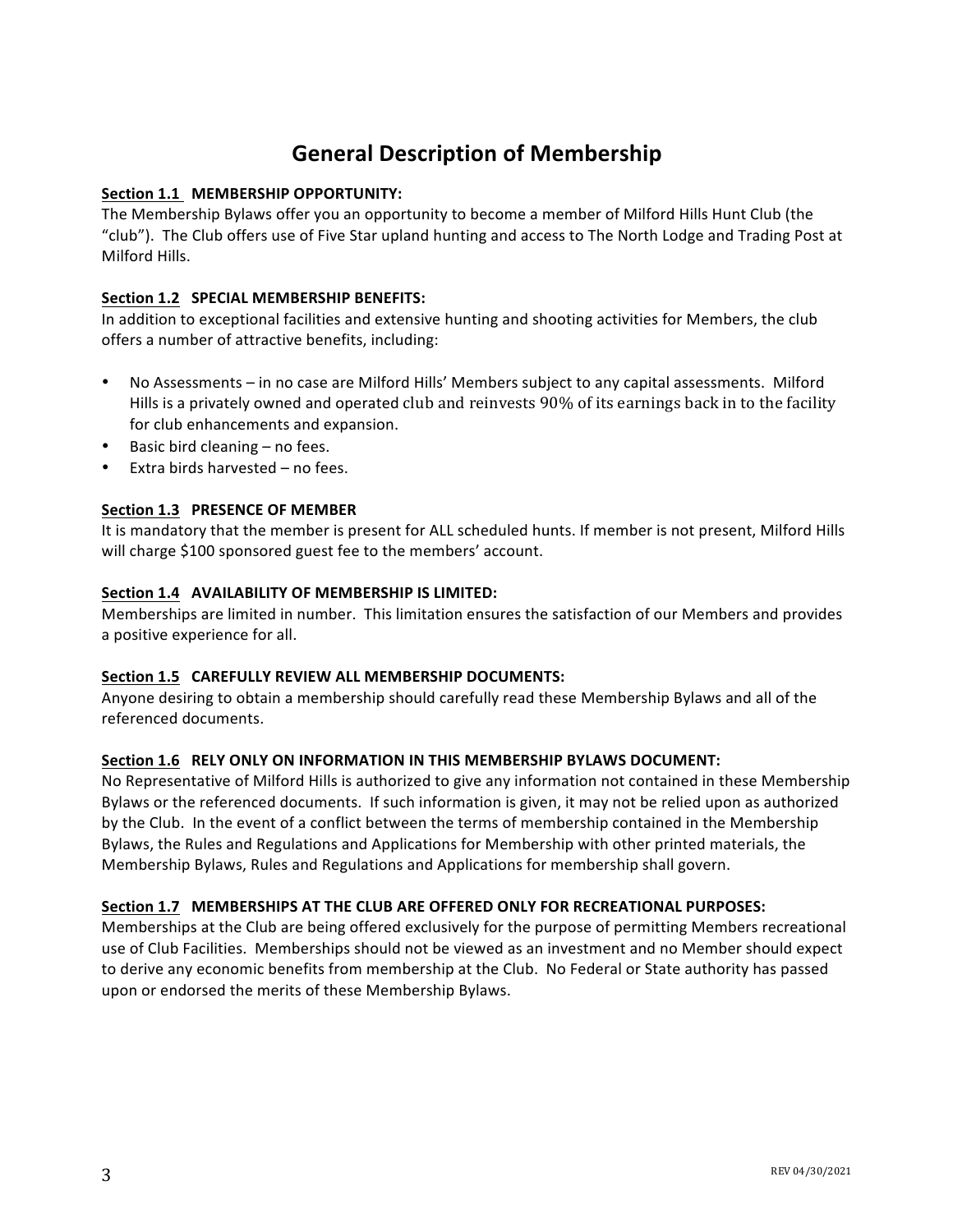# **General Description of Membership**

#### **Section 1.1 MEMBERSHIP OPPORTUNITY:**

The Membership Bylaws offer you an opportunity to become a member of Milford Hills Hunt Club (the "club"). The Club offers use of Five Star upland hunting and access to The North Lodge and Trading Post at Milford Hills.

#### **Section 1.2 SPECIAL MEMBERSHIP BENEFITS:**

In addition to exceptional facilities and extensive hunting and shooting activities for Members, the club offers a number of attractive benefits, including:

- No Assessments in no case are Milford Hills' Members subject to any capital assessments. Milford Hills is a privately owned and operated club and reinvests  $90\%$  of its earnings back in to the facility for club enhancements and expansion.
- Basic bird cleaning no fees.
- Extra birds harvested  $-$  no fees.

#### Section 1.3 PRESENCE OF MEMBER

It is mandatory that the member is present for ALL scheduled hunts. If member is not present, Milford Hills will charge \$100 sponsored guest fee to the members' account.

#### **Section 1.4 AVAILABILITY OF MEMBERSHIP IS LIMITED:**

Memberships are limited in number. This limitation ensures the satisfaction of our Members and provides a positive experience for all.

#### **Section 1.5 CAREFULLY REVIEW ALL MEMBERSHIP DOCUMENTS:**

Anyone desiring to obtain a membership should carefully read these Membership Bylaws and all of the referenced documents.

#### **Section 1.6 RELY ONLY ON INFORMATION IN THIS MEMBERSHIP BYLAWS DOCUMENT:**

No Representative of Milford Hills is authorized to give any information not contained in these Membership Bylaws or the referenced documents. If such information is given, it may not be relied upon as authorized by the Club. In the event of a conflict between the terms of membership contained in the Membership Bylaws, the Rules and Regulations and Applications for Membership with other printed materials, the Membership Bylaws, Rules and Regulations and Applications for membership shall govern.

#### **Section 1.7 MEMBERSHIPS AT THE CLUB ARE OFFERED ONLY FOR RECREATIONAL PURPOSES:**

Memberships at the Club are being offered exclusively for the purpose of permitting Members recreational use of Club Facilities. Memberships should not be viewed as an investment and no Member should expect to derive any economic benefits from membership at the Club. No Federal or State authority has passed upon or endorsed the merits of these Membership Bylaws.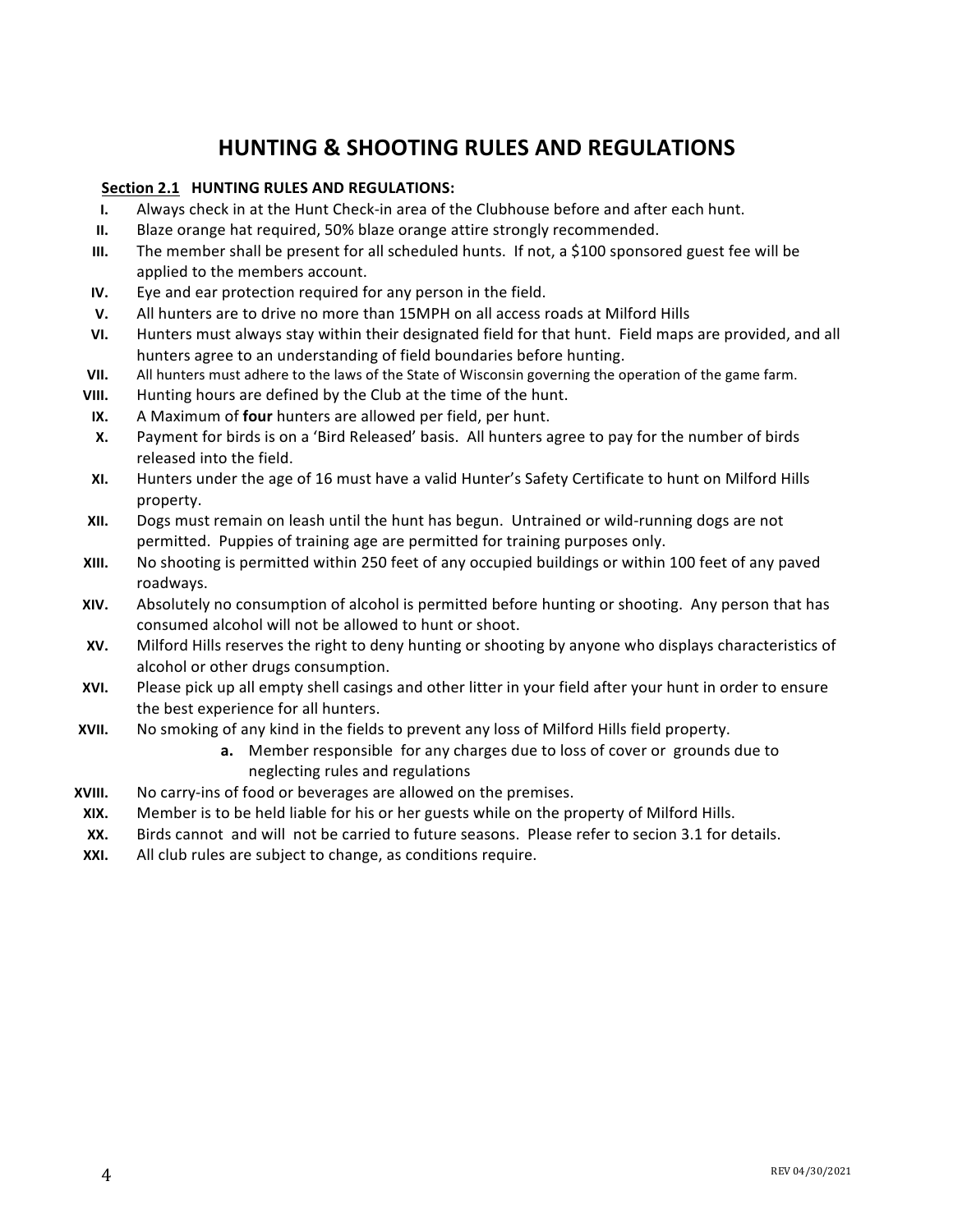# **HUNTING & SHOOTING RULES AND REGULATIONS**

#### **Section 2.1 HUNTING RULES AND REGULATIONS:**

- **I.** Always check in at the Hunt Check-in area of the Clubhouse before and after each hunt.
- **II.** Blaze orange hat required, 50% blaze orange attire strongly recommended.
- **III.** The member shall be present for all scheduled hunts. If not, a \$100 sponsored guest fee will be applied to the members account.
- **IV.** Eye and ear protection required for any person in the field.
- **V.** All hunters are to drive no more than 15MPH on all access roads at Milford Hills
- **VI.** Hunters must always stay within their designated field for that hunt. Field maps are provided, and all hunters agree to an understanding of field boundaries before hunting.
- **VII.** All hunters must adhere to the laws of the State of Wisconsin governing the operation of the game farm.
- **VIII.** Hunting hours are defined by the Club at the time of the hunt.
- **IX.** A Maximum of **four** hunters are allowed per field, per hunt.
- **X.** Payment for birds is on a 'Bird Released' basis. All hunters agree to pay for the number of birds released into the field.
- **XI.** Hunters under the age of 16 must have a valid Hunter's Safety Certificate to hunt on Milford Hills property.
- **XII.** Dogs must remain on leash until the hunt has begun. Untrained or wild-running dogs are not permitted. Puppies of training age are permitted for training purposes only.
- **XIII.** No shooting is permitted within 250 feet of any occupied buildings or within 100 feet of any paved roadways.
- **XIV.** Absolutely no consumption of alcohol is permitted before hunting or shooting. Any person that has consumed alcohol will not be allowed to hunt or shoot.
- **XV.** Milford Hills reserves the right to deny hunting or shooting by anyone who displays characteristics of alcohol or other drugs consumption.
- **XVI.** Please pick up all empty shell casings and other litter in your field after your hunt in order to ensure the best experience for all hunters.
- **XVII.** No smoking of any kind in the fields to prevent any loss of Milford Hills field property.
	- **a.** Member responsible for any charges due to loss of cover or grounds due to neglecting rules and regulations
- **XVIII.** No carry-ins of food or beverages are allowed on the premises.
- **XIX.** Member is to be held liable for his or her guests while on the property of Milford Hills.
- **XX.** Birds cannot and will not be carried to future seasons. Please refer to secion 3.1 for details.
- **XXI.** All club rules are subject to change, as conditions require.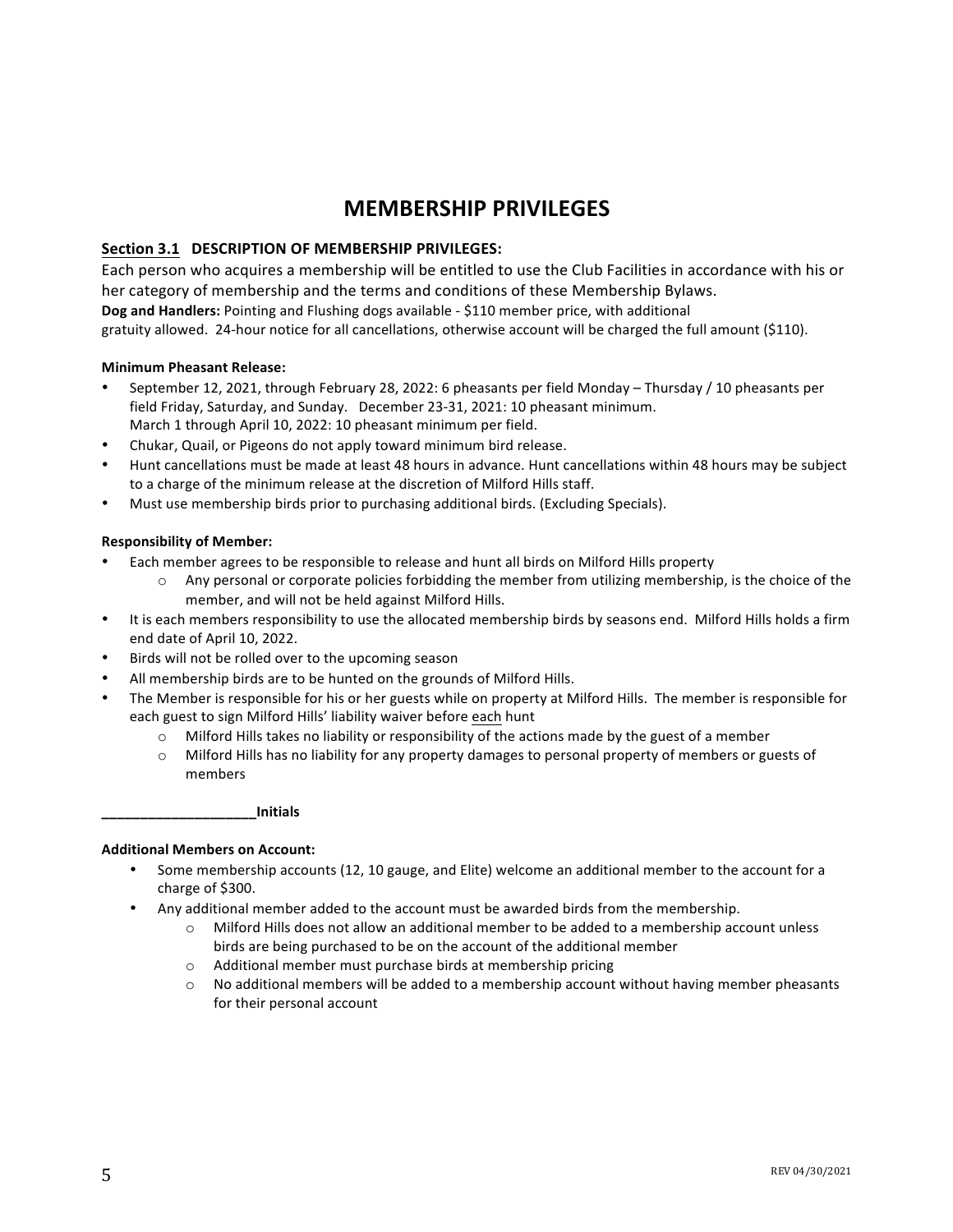## **MEMBERSHIP PRIVILEGES**

#### Section 3.1 DESCRIPTION OF MEMBERSHIP PRIVILEGES:

Each person who acquires a membership will be entitled to use the Club Facilities in accordance with his or her category of membership and the terms and conditions of these Membership Bylaws. **Dog and Handlers:** Pointing and Flushing dogs available - \$110 member price, with additional gratuity allowed. 24-hour notice for all cancellations, otherwise account will be charged the full amount (\$110).

#### **Minimum Pheasant Release:**

- September 12, 2021, through February 28, 2022: 6 pheasants per field Monday Thursday / 10 pheasants per field Friday, Saturday, and Sunday. December 23-31, 2021: 10 pheasant minimum. March 1 through April 10, 2022: 10 pheasant minimum per field.
- Chukar, Quail, or Pigeons do not apply toward minimum bird release.
- Hunt cancellations must be made at least 48 hours in advance. Hunt cancellations within 48 hours may be subject to a charge of the minimum release at the discretion of Milford Hills staff.
- Must use membership birds prior to purchasing additional birds. (Excluding Specials).

#### **Responsibility of Member:**

- Each member agrees to be responsible to release and hunt all birds on Milford Hills property
	- $\circ$  Any personal or corporate policies forbidding the member from utilizing membership, is the choice of the member, and will not be held against Milford Hills.
- It is each members responsibility to use the allocated membership birds by seasons end. Milford Hills holds a firm end date of April 10, 2022.
- Birds will not be rolled over to the upcoming season
- All membership birds are to be hunted on the grounds of Milford Hills.
- The Member is responsible for his or her guests while on property at Milford Hills. The member is responsible for each guest to sign Milford Hills' liability waiver before each hunt
	- $\circ$  Milford Hills takes no liability or responsibility of the actions made by the guest of a member
	- $\circ$  Milford Hills has no liability for any property damages to personal property of members or guests of members

#### **\_\_\_\_\_\_\_\_\_\_\_\_\_\_\_\_\_\_\_\_Initials**

#### **Additional Members on Account:**

- Some membership accounts (12, 10 gauge, and Elite) welcome an additional member to the account for a charge of \$300.
- Any additional member added to the account must be awarded birds from the membership.
	- $\circ$  Milford Hills does not allow an additional member to be added to a membership account unless birds are being purchased to be on the account of the additional member
	- $\circ$  Additional member must purchase birds at membership pricing
	- No additional members will be added to a membership account without having member pheasants for their personal account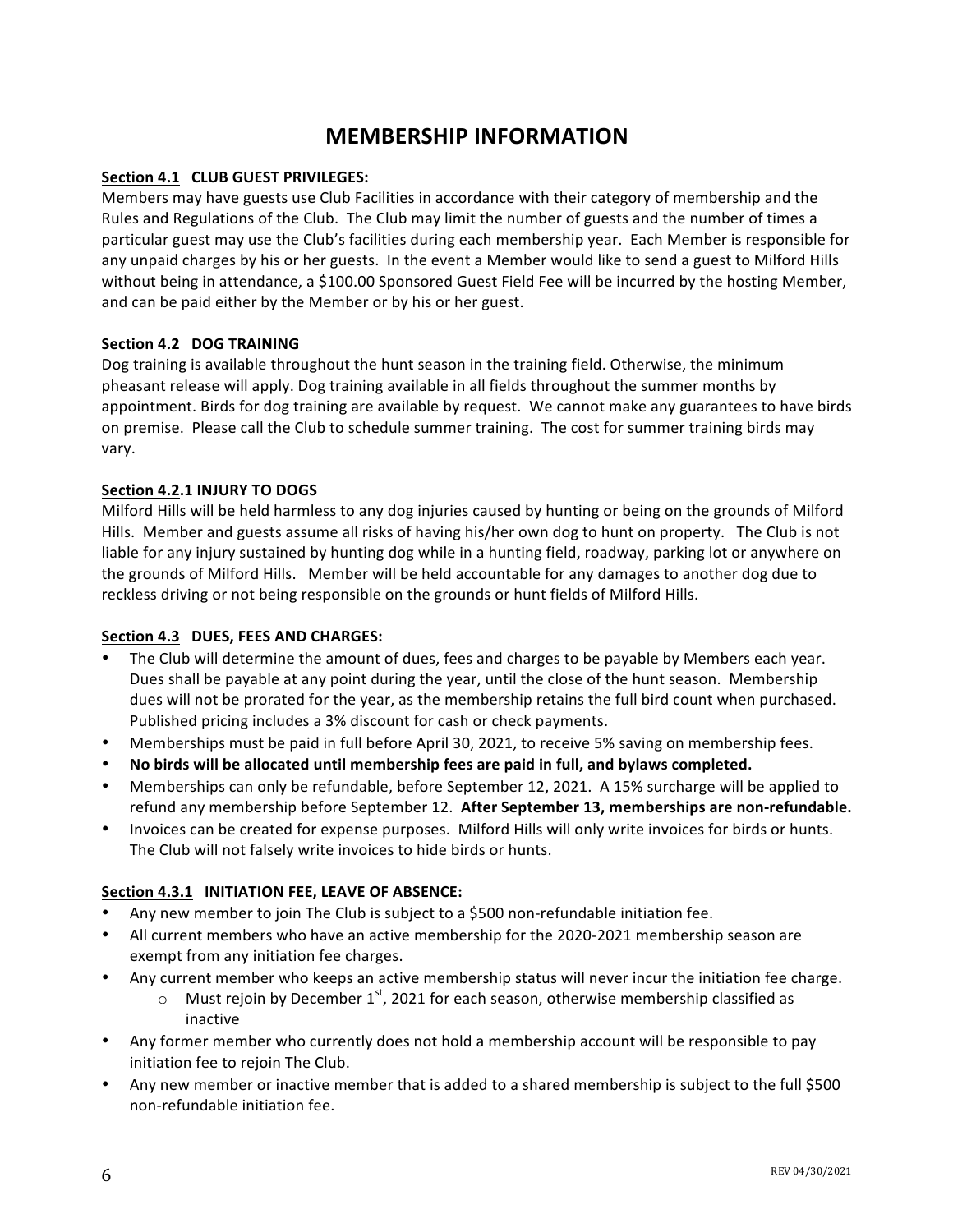### **MEMBERSHIP INFORMATION**

#### **Section 4.1 CLUB GUEST PRIVILEGES:**

Members may have guests use Club Facilities in accordance with their category of membership and the Rules and Regulations of the Club. The Club may limit the number of guests and the number of times a particular guest may use the Club's facilities during each membership year. Each Member is responsible for any unpaid charges by his or her guests. In the event a Member would like to send a guest to Milford Hills without being in attendance, a \$100.00 Sponsored Guest Field Fee will be incurred by the hosting Member, and can be paid either by the Member or by his or her guest.

#### Section 4.2 DOG TRAINING

Dog training is available throughout the hunt season in the training field. Otherwise, the minimum pheasant release will apply. Dog training available in all fields throughout the summer months by appointment. Birds for dog training are available by request. We cannot make any guarantees to have birds on premise. Please call the Club to schedule summer training. The cost for summer training birds may vary.

#### Section 4.2.1 INJURY TO DOGS

Milford Hills will be held harmless to any dog injuries caused by hunting or being on the grounds of Milford Hills. Member and guests assume all risks of having his/her own dog to hunt on property. The Club is not liable for any injury sustained by hunting dog while in a hunting field, roadway, parking lot or anywhere on the grounds of Milford Hills. Member will be held accountable for any damages to another dog due to reckless driving or not being responsible on the grounds or hunt fields of Milford Hills.

#### **Section 4.3 DUES, FEES AND CHARGES:**

- The Club will determine the amount of dues, fees and charges to be payable by Members each year. Dues shall be payable at any point during the year, until the close of the hunt season. Membership dues will not be prorated for the year, as the membership retains the full bird count when purchased. Published pricing includes a 3% discount for cash or check payments.
- Memberships must be paid in full before April 30, 2021, to receive 5% saving on membership fees.
- **No birds will be allocated until membership fees are paid in full, and bylaws completed.**
- Memberships can only be refundable, before September 12, 2021. A 15% surcharge will be applied to refund any membership before September 12. After September 13, memberships are non-refundable.
- Invoices can be created for expense purposes. Milford Hills will only write invoices for birds or hunts. The Club will not falsely write invoices to hide birds or hunts.

#### Section 4.3.1 **INITIATION FEE, LEAVE OF ABSENCE:**

- Any new member to join The Club is subject to a \$500 non-refundable initiation fee.
- All current members who have an active membership for the 2020-2021 membership season are exempt from any initiation fee charges.
- Any current member who keeps an active membership status will never incur the initiation fee charge.
	- $\circ$  Must rejoin by December 1<sup>st</sup>, 2021 for each season, otherwise membership classified as inactive
- Any former member who currently does not hold a membership account will be responsible to pay initiation fee to rejoin The Club.
- Any new member or inactive member that is added to a shared membership is subject to the full \$500 non-refundable initiation fee.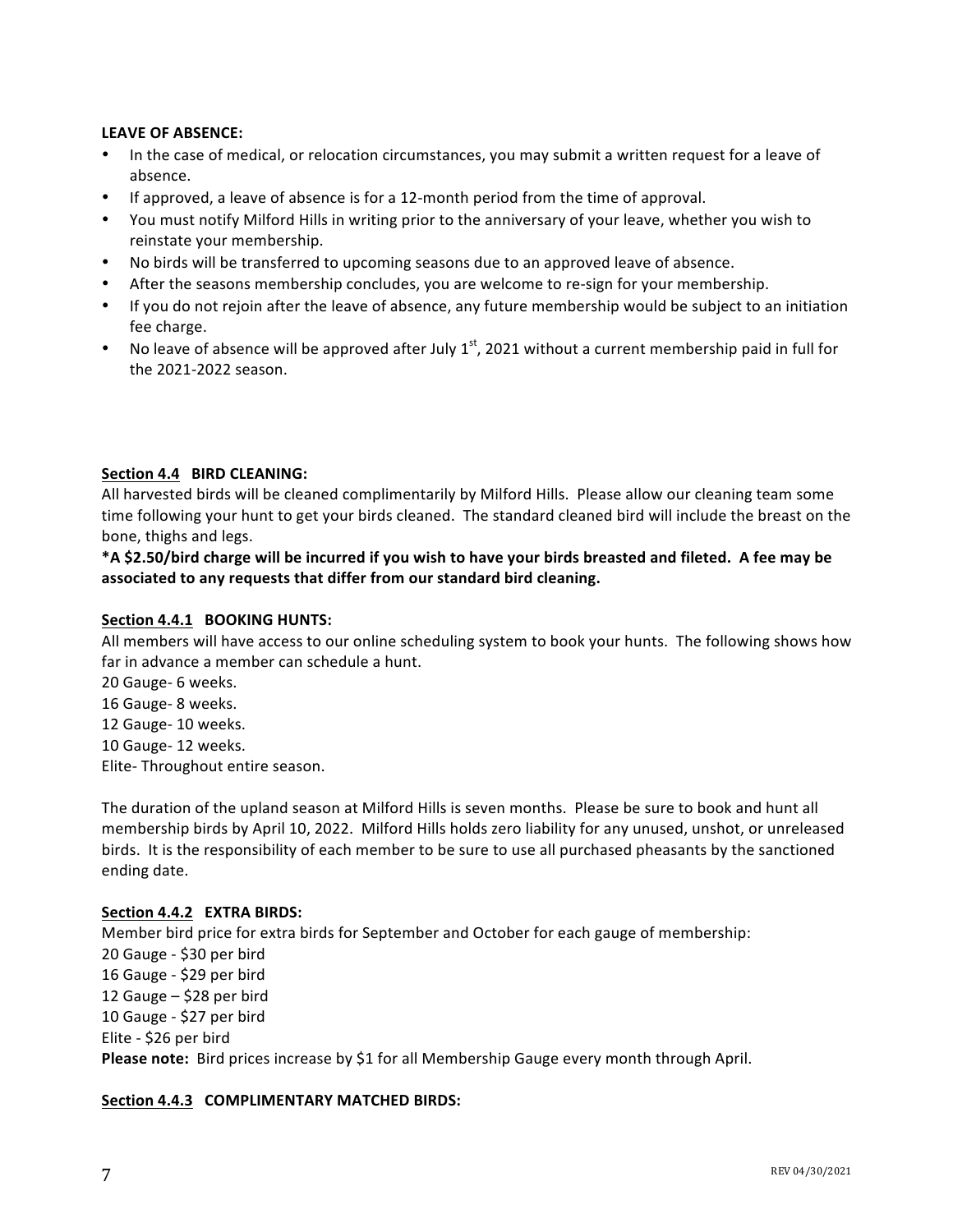#### LEAVE OF ABSENCE:

- In the case of medical, or relocation circumstances, you may submit a written request for a leave of absence.
- If approved, a leave of absence is for a 12-month period from the time of approval.
- You must notify Milford Hills in writing prior to the anniversary of your leave, whether you wish to reinstate your membership.
- No birds will be transferred to upcoming seasons due to an approved leave of absence.
- After the seasons membership concludes, you are welcome to re-sign for your membership.
- If you do not rejoin after the leave of absence, any future membership would be subject to an initiation fee charge.
- No leave of absence will be approved after July  $1^{st}$ , 2021 without a current membership paid in full for the 2021-2022 season.

#### Section 4.4 **BIRD CLEANING:**

All harvested birds will be cleaned complimentarily by Milford Hills. Please allow our cleaning team some time following your hunt to get your birds cleaned. The standard cleaned bird will include the breast on the bone, thighs and legs.

\*A \$2.50/bird charge will be incurred if you wish to have your birds breasted and fileted. A fee may be associated to any requests that differ from our standard bird cleaning.

#### Section 4.4.1 BOOKING HUNTS:

All members will have access to our online scheduling system to book your hunts. The following shows how far in advance a member can schedule a hunt.

20 Gauge- 6 weeks. 16 Gauge- 8 weeks. 12 Gauge- 10 weeks. 10 Gauge- 12 weeks. Elite- Throughout entire season.

The duration of the upland season at Milford Hills is seven months. Please be sure to book and hunt all membership birds by April 10, 2022. Milford Hills holds zero liability for any unused, unshot, or unreleased birds. It is the responsibility of each member to be sure to use all purchased pheasants by the sanctioned ending date.

#### **Section 4.4.2 EXTRA BIRDS:**

Member bird price for extra birds for September and October for each gauge of membership: 20 Gauge - \$30 per bird 16 Gauge - \$29 per bird 12 Gauge  $-$  \$28 per bird 10 Gauge - \$27 per bird Elite - \$26 per bird **Please note:** Bird prices increase by \$1 for all Membership Gauge every month through April.

#### **Section 4.4.3 COMPLIMENTARY MATCHED BIRDS:**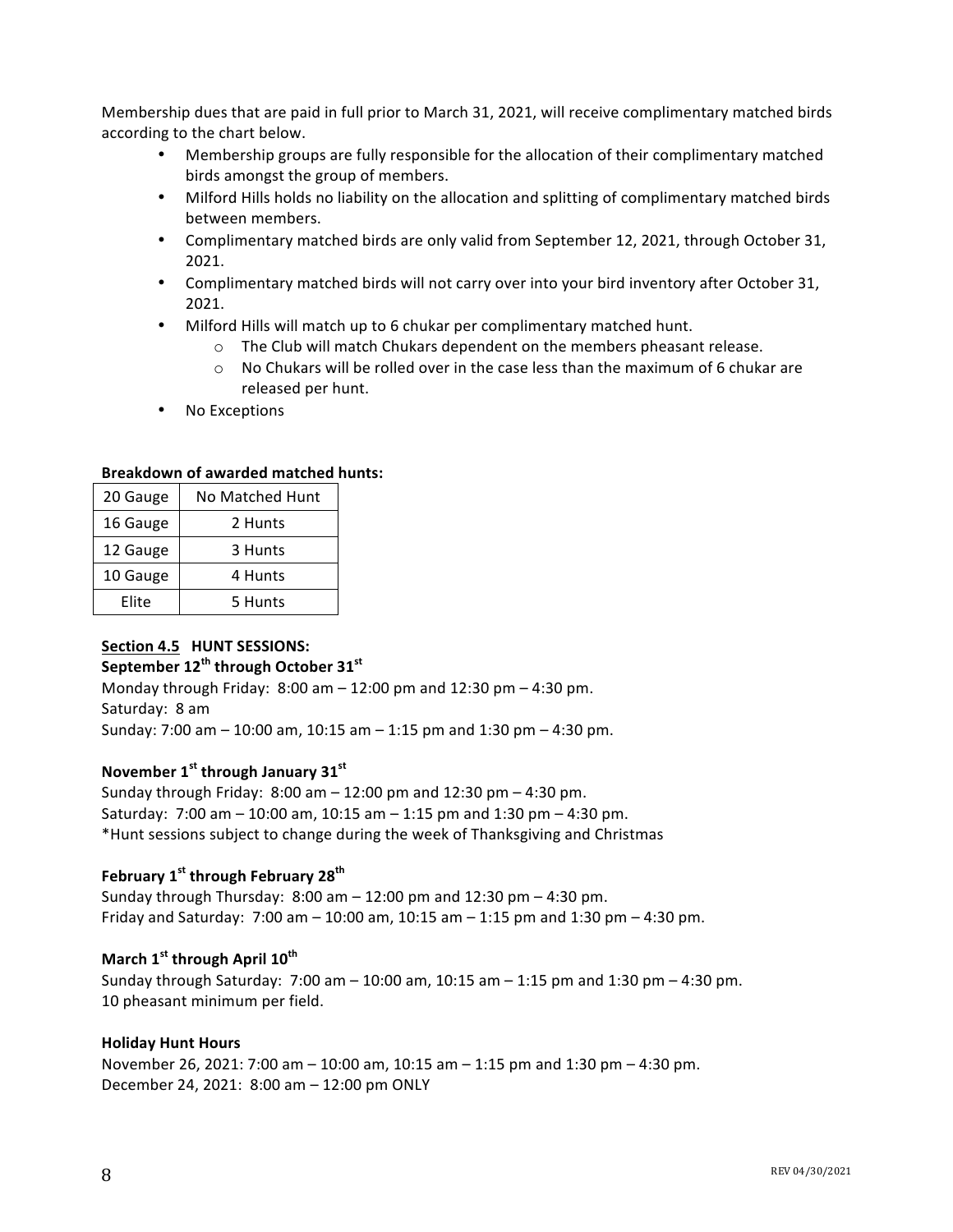Membership dues that are paid in full prior to March 31, 2021, will receive complimentary matched birds according to the chart below.

- Membership groups are fully responsible for the allocation of their complimentary matched birds amongst the group of members.
- Milford Hills holds no liability on the allocation and splitting of complimentary matched birds between members.
- Complimentary matched birds are only valid from September 12, 2021, through October 31, 2021.
- Complimentary matched birds will not carry over into your bird inventory after October 31, 2021.
- Milford Hills will match up to 6 chukar per complimentary matched hunt.
	- $\circ$  The Club will match Chukars dependent on the members pheasant release.
	- $\circ$  No Chukars will be rolled over in the case less than the maximum of 6 chukar are released per hunt.
- No Exceptions

#### **Breakdown of awarded matched hunts:**

| 20 Gauge | No Matched Hunt |  |  |  |
|----------|-----------------|--|--|--|
| 16 Gauge | 2 Hunts         |  |  |  |
| 12 Gauge | 3 Hunts         |  |  |  |
| 10 Gauge | 4 Hunts         |  |  |  |
| Elite    | 5 Hunts         |  |  |  |

#### Section 4.5 **HUNT SESSIONS:**

#### **September 12th through October 31st**

Monday through Friday:  $8:00$  am  $- 12:00$  pm and  $12:30$  pm  $- 4:30$  pm. Saturday: 8 am Sunday:  $7:00$  am  $- 10:00$  am,  $10:15$  am  $- 1:15$  pm and  $1:30$  pm  $- 4:30$  pm.

#### **November 1st through January 31st**

Sunday through Friday:  $8:00$  am  $- 12:00$  pm and  $12:30$  pm  $- 4:30$  pm. Saturday:  $7:00$  am  $- 10:00$  am,  $10:15$  am  $- 1:15$  pm and  $1:30$  pm  $- 4:30$  pm. \*Hunt sessions subject to change during the week of Thanksgiving and Christmas

#### **February 1st through February 28th**

Sunday through Thursday:  $8:00$  am  $- 12:00$  pm and  $12:30$  pm  $- 4:30$  pm. Friday and Saturday:  $7:00$  am  $- 10:00$  am,  $10:15$  am  $- 1:15$  pm and  $1:30$  pm  $- 4:30$  pm.

#### **March 1st through April 10th**

Sunday through Saturday:  $7:00$  am  $- 10:00$  am,  $10:15$  am  $- 1:15$  pm and  $1:30$  pm  $- 4:30$  pm. 10 pheasant minimum per field.

#### **Holiday Hunt Hours**

November 26, 2021: 7:00 am – 10:00 am, 10:15 am – 1:15 pm and 1:30 pm – 4:30 pm. December 24, 2021: 8:00 am - 12:00 pm ONLY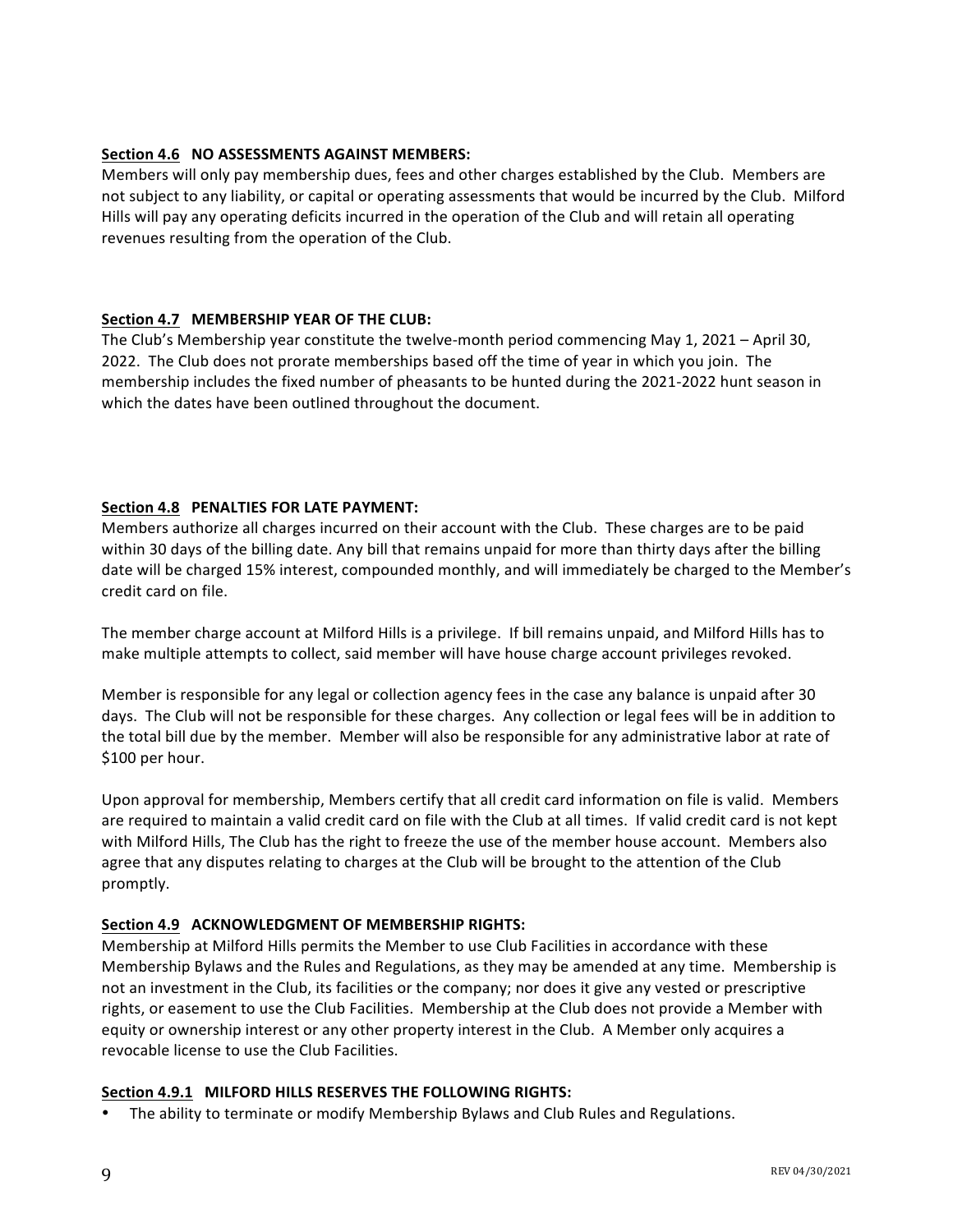#### **Section 4.6 NO ASSESSMENTS AGAINST MEMBERS:**

Members will only pay membership dues, fees and other charges established by the Club. Members are not subject to any liability, or capital or operating assessments that would be incurred by the Club. Milford Hills will pay any operating deficits incurred in the operation of the Club and will retain all operating revenues resulting from the operation of the Club.

#### Section 4.7 MEMBERSHIP YEAR OF THE CLUB:

The Club's Membership year constitute the twelve-month period commencing May 1, 2021 – April 30, 2022. The Club does not prorate memberships based off the time of year in which you join. The membership includes the fixed number of pheasants to be hunted during the 2021-2022 hunt season in which the dates have been outlined throughout the document.

#### Section 4.8 PENALTIES FOR LATE PAYMENT:

Members authorize all charges incurred on their account with the Club. These charges are to be paid within 30 days of the billing date. Any bill that remains unpaid for more than thirty days after the billing date will be charged 15% interest, compounded monthly, and will immediately be charged to the Member's credit card on file.

The member charge account at Milford Hills is a privilege. If bill remains unpaid, and Milford Hills has to make multiple attempts to collect, said member will have house charge account privileges revoked.

Member is responsible for any legal or collection agency fees in the case any balance is unpaid after 30 days. The Club will not be responsible for these charges. Any collection or legal fees will be in addition to the total bill due by the member. Member will also be responsible for any administrative labor at rate of \$100 per hour.

Upon approval for membership, Members certify that all credit card information on file is valid. Members are required to maintain a valid credit card on file with the Club at all times. If valid credit card is not kept with Milford Hills, The Club has the right to freeze the use of the member house account. Members also agree that any disputes relating to charges at the Club will be brought to the attention of the Club promptly. 

#### Section 4.9 ACKNOWLEDGMENT OF MEMBERSHIP RIGHTS:

Membership at Milford Hills permits the Member to use Club Facilities in accordance with these Membership Bylaws and the Rules and Regulations, as they may be amended at any time. Membership is not an investment in the Club, its facilities or the company; nor does it give any vested or prescriptive rights, or easement to use the Club Facilities. Membership at the Club does not provide a Member with equity or ownership interest or any other property interest in the Club. A Member only acquires a revocable license to use the Club Facilities.

#### Section 4.9.1 MILFORD HILLS RESERVES THE FOLLOWING RIGHTS:

• The ability to terminate or modify Membership Bylaws and Club Rules and Regulations.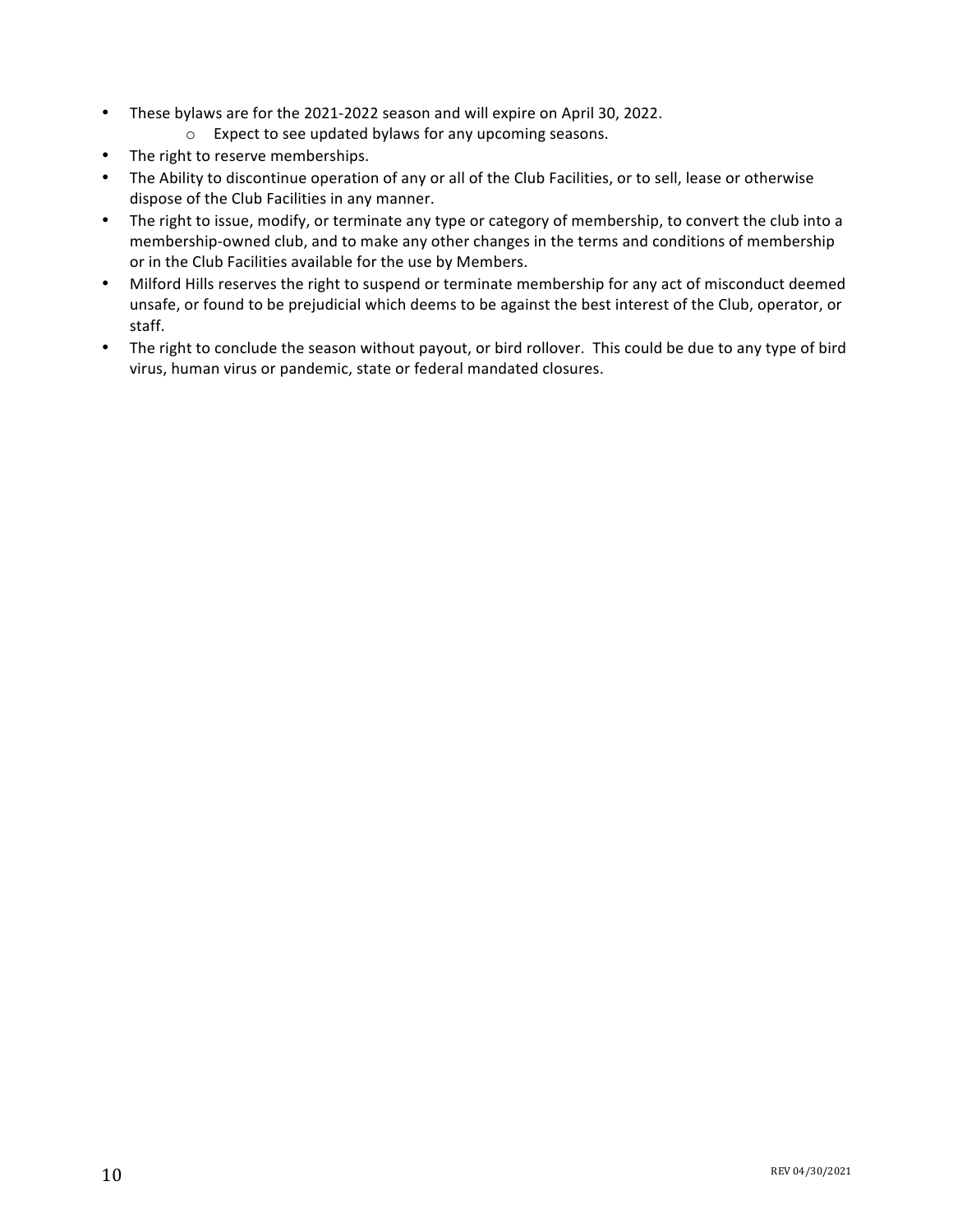- These bylaws are for the 2021-2022 season and will expire on April 30, 2022.
	- $\circ$  Expect to see updated bylaws for any upcoming seasons.
- The right to reserve memberships.
- The Ability to discontinue operation of any or all of the Club Facilities, or to sell, lease or otherwise dispose of the Club Facilities in any manner.
- The right to issue, modify, or terminate any type or category of membership, to convert the club into a membership-owned club, and to make any other changes in the terms and conditions of membership or in the Club Facilities available for the use by Members.
- Milford Hills reserves the right to suspend or terminate membership for any act of misconduct deemed unsafe, or found to be prejudicial which deems to be against the best interest of the Club, operator, or staff.
- The right to conclude the season without payout, or bird rollover. This could be due to any type of bird virus, human virus or pandemic, state or federal mandated closures.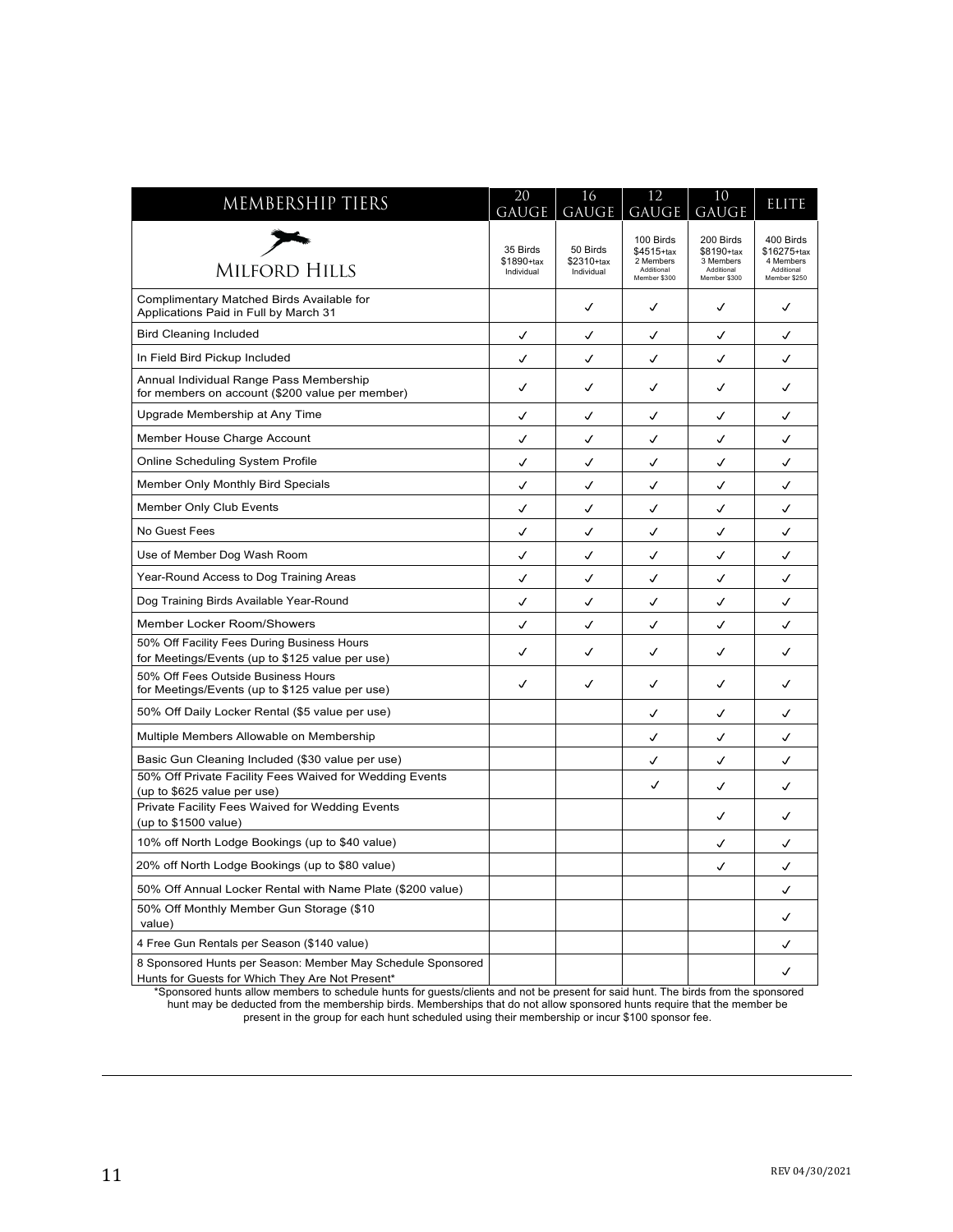| MEMBERSHIP TIERS                                                                                                | 20<br>GAUGE                          | 16<br>GAUGE                          | 12<br>GAUGE                                                        | 10<br>GAUGE                                                        | <b>ELITE</b>                                                        |
|-----------------------------------------------------------------------------------------------------------------|--------------------------------------|--------------------------------------|--------------------------------------------------------------------|--------------------------------------------------------------------|---------------------------------------------------------------------|
| <b>MILFORD HILLS</b>                                                                                            | 35 Birds<br>\$1890+tax<br>Individual | 50 Birds<br>\$2310+tax<br>Individual | 100 Birds<br>\$4515+tax<br>2 Members<br>Additional<br>Member \$300 | 200 Birds<br>\$8190+tax<br>3 Members<br>Additional<br>Member \$300 | 400 Birds<br>\$16275+tax<br>4 Members<br>Additional<br>Member \$250 |
| Complimentary Matched Birds Available for<br>Applications Paid in Full by March 31                              |                                      | ✓                                    | ✓                                                                  | ✓                                                                  | ✓                                                                   |
| <b>Bird Cleaning Included</b>                                                                                   | ✓                                    | √                                    | ✓                                                                  | ✓                                                                  | ✓                                                                   |
| In Field Bird Pickup Included                                                                                   | ✓                                    | ✓                                    | ✓                                                                  | ✓                                                                  | ✓                                                                   |
| Annual Individual Range Pass Membership<br>for members on account (\$200 value per member)                      | ✓                                    | ✓                                    | ✓                                                                  | ✓                                                                  | ✓                                                                   |
| Upgrade Membership at Any Time                                                                                  | ✓                                    | √                                    | √                                                                  | √                                                                  | ✓                                                                   |
| Member House Charge Account                                                                                     | ✓                                    | ✓                                    | ✓                                                                  | √                                                                  | ✓                                                                   |
| Online Scheduling System Profile                                                                                | ✓                                    | ✓                                    | ✓                                                                  | ✓                                                                  | ✓                                                                   |
| Member Only Monthly Bird Specials                                                                               | ✓                                    | ✓                                    | ✓                                                                  | ✓                                                                  | √                                                                   |
| Member Only Club Events                                                                                         | $\checkmark$                         | ✓                                    | $\checkmark$                                                       | $\checkmark$                                                       | ✓                                                                   |
| No Guest Fees                                                                                                   | ✓                                    | √                                    | ✓                                                                  | ✓                                                                  | ✓                                                                   |
| Use of Member Dog Wash Room                                                                                     | ✓                                    | ✓                                    | ✓                                                                  | ✓                                                                  | ✓                                                                   |
| Year-Round Access to Dog Training Areas                                                                         | ✓                                    | ✓                                    | ✓                                                                  | √                                                                  | J                                                                   |
| Dog Training Birds Available Year-Round                                                                         | ✓                                    | √                                    | ✓                                                                  | ✓                                                                  | ✓                                                                   |
| Member Locker Room/Showers                                                                                      | ✓                                    | √                                    | ✓                                                                  | ✓                                                                  | ✓                                                                   |
| 50% Off Facility Fees During Business Hours                                                                     | ✓                                    | ✓                                    | ✓                                                                  | ✓                                                                  | ✓                                                                   |
| for Meetings/Events (up to \$125 value per use)<br>50% Off Fees Outside Business Hours                          |                                      |                                      |                                                                    |                                                                    |                                                                     |
| for Meetings/Events (up to \$125 value per use)                                                                 | ✓                                    | ✓                                    | ✓                                                                  | ✓                                                                  | ✓                                                                   |
| 50% Off Daily Locker Rental (\$5 value per use)                                                                 |                                      |                                      | ✓                                                                  | ✓                                                                  | ✓                                                                   |
| Multiple Members Allowable on Membership                                                                        |                                      |                                      | √                                                                  | √                                                                  | ✓                                                                   |
| Basic Gun Cleaning Included (\$30 value per use)                                                                |                                      |                                      | ✓                                                                  | ✓                                                                  | ✓                                                                   |
| 50% Off Private Facility Fees Waived for Wedding Events<br>(up to \$625 value per use)                          |                                      |                                      | ✓                                                                  | ✓                                                                  | J                                                                   |
| Private Facility Fees Waived for Wedding Events<br>(up to $$1500$ value)                                        |                                      |                                      |                                                                    | ✓                                                                  | ✓                                                                   |
| 10% off North Lodge Bookings (up to \$40 value)                                                                 |                                      |                                      |                                                                    | ✓                                                                  | ✓                                                                   |
| 20% off North Lodge Bookings (up to \$80 value)                                                                 |                                      |                                      |                                                                    | √                                                                  | ✓                                                                   |
| 50% Off Annual Locker Rental with Name Plate (\$200 value)                                                      |                                      |                                      |                                                                    |                                                                    | ✓                                                                   |
| 50% Off Monthly Member Gun Storage (\$10)<br>value)                                                             |                                      |                                      |                                                                    |                                                                    | ✓                                                                   |
| 4 Free Gun Rentals per Season (\$140 value)                                                                     |                                      |                                      |                                                                    |                                                                    | ✓                                                                   |
| 8 Sponsored Hunts per Season: Member May Schedule Sponsored<br>Hunts for Guests for Which They Are Not Present* |                                      |                                      |                                                                    |                                                                    | ✓                                                                   |

\*Sponsored hunts allow members to schedule hunts for guests/clients and not be present for said hunt. The birds from the sponsored hunt may be deducted from the membership birds. Memberships that do not allow sponsored hunts require that the member be present in the group for each hunt scheduled using their membership or incur \$100 sponsor fee.